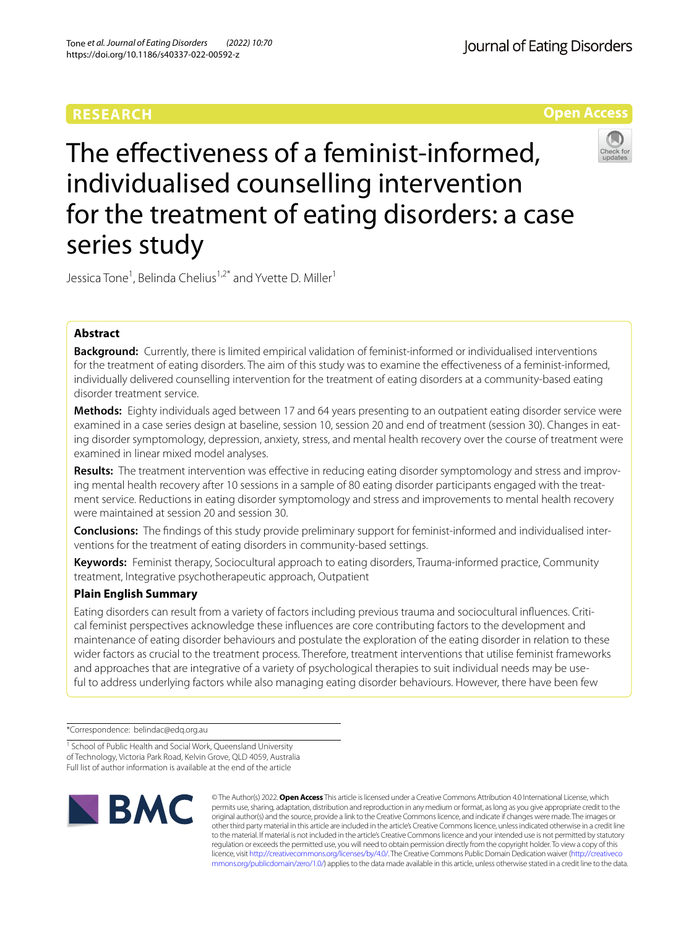# **RESEARCH**

Journal of Eating Disorders

**Open Access**

# The effectiveness of a feminist-informed, individualised counselling intervention for the treatment of eating disorders: a case series study



Jessica Tone<sup>1</sup>, Belinda Chelius<sup>1,2\*</sup> and Yvette D. Miller<sup>1</sup>

# **Abstract**

**Background:** Currently, there is limited empirical validation of feminist-informed or individualised interventions for the treatment of eating disorders. The aim of this study was to examine the effectiveness of a feminist-informed, individually delivered counselling intervention for the treatment of eating disorders at a community-based eating disorder treatment service.

**Methods:** Eighty individuals aged between 17 and 64 years presenting to an outpatient eating disorder service were examined in a case series design at baseline, session 10, session 20 and end of treatment (session 30). Changes in eating disorder symptomology, depression, anxiety, stress, and mental health recovery over the course of treatment were examined in linear mixed model analyses.

**Results:** The treatment intervention was efective in reducing eating disorder symptomology and stress and improving mental health recovery after 10 sessions in a sample of 80 eating disorder participants engaged with the treatment service. Reductions in eating disorder symptomology and stress and improvements to mental health recovery were maintained at session 20 and session 30.

**Conclusions:** The fndings of this study provide preliminary support for feminist-informed and individualised interventions for the treatment of eating disorders in community-based settings.

**Keywords:** Feminist therapy, Sociocultural approach to eating disorders, Trauma-informed practice, Community treatment, Integrative psychotherapeutic approach, Outpatient

# **Plain English Summary**

Eating disorders can result from a variety of factors including previous trauma and sociocultural infuences. Critical feminist perspectives acknowledge these infuences are core contributing factors to the development and maintenance of eating disorder behaviours and postulate the exploration of the eating disorder in relation to these wider factors as crucial to the treatment process. Therefore, treatment interventions that utilise feminist frameworks and approaches that are integrative of a variety of psychological therapies to suit individual needs may be useful to address underlying factors while also managing eating disorder behaviours. However, there have been few

\*Correspondence: belindac@edq.org.au

<sup>&</sup>lt;sup>1</sup> School of Public Health and Social Work, Queensland University of Technology, Victoria Park Road, Kelvin Grove, QLD 4059, Australia Full list of author information is available at the end of the article



© The Author(s) 2022. **Open Access** This article is licensed under a Creative Commons Attribution 4.0 International License, which permits use, sharing, adaptation, distribution and reproduction in any medium or format, as long as you give appropriate credit to the original author(s) and the source, provide a link to the Creative Commons licence, and indicate if changes were made. The images or other third party material in this article are included in the article's Creative Commons licence, unless indicated otherwise in a credit line to the material. If material is not included in the article's Creative Commons licence and your intended use is not permitted by statutory regulation or exceeds the permitted use, you will need to obtain permission directly from the copyright holder. To view a copy of this licence, visit [http://creativecommons.org/licenses/by/4.0/.](http://creativecommons.org/licenses/by/4.0/) The Creative Commons Public Domain Dedication waiver ([http://creativeco](http://creativecommons.org/publicdomain/zero/1.0/) [mmons.org/publicdomain/zero/1.0/](http://creativecommons.org/publicdomain/zero/1.0/)) applies to the data made available in this article, unless otherwise stated in a credit line to the data.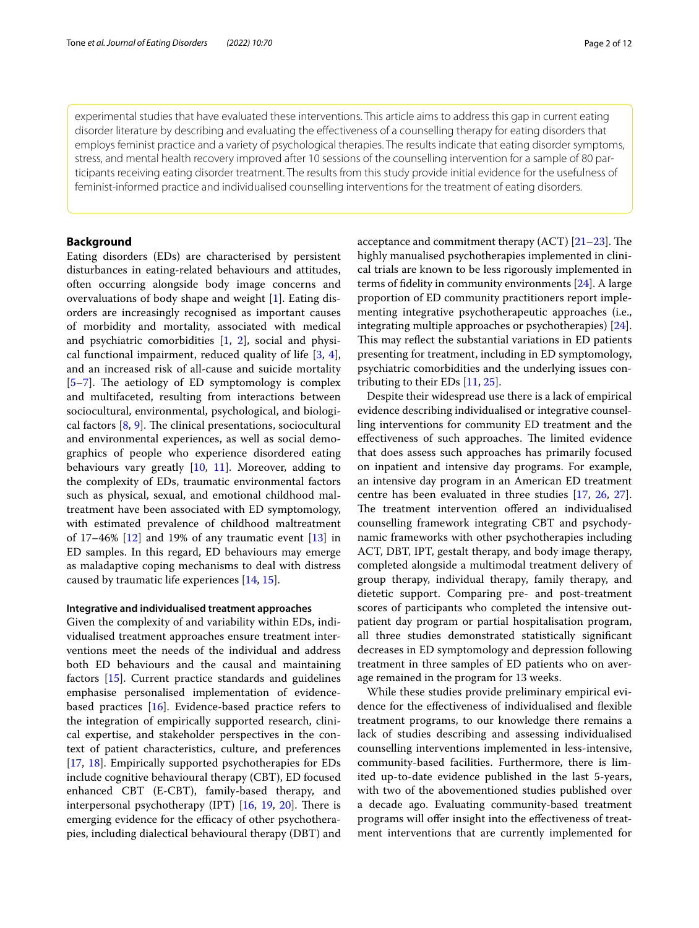experimental studies that have evaluated these interventions. This article aims to address this gap in current eating disorder literature by describing and evaluating the efectiveness of a counselling therapy for eating disorders that employs feminist practice and a variety of psychological therapies. The results indicate that eating disorder symptoms, stress, and mental health recovery improved after 10 sessions of the counselling intervention for a sample of 80 participants receiving eating disorder treatment. The results from this study provide initial evidence for the usefulness of feminist-informed practice and individualised counselling interventions for the treatment of eating disorders.

#### **Background**

Eating disorders (EDs) are characterised by persistent disturbances in eating-related behaviours and attitudes, often occurring alongside body image concerns and overvaluations of body shape and weight [[1](#page-10-0)]. Eating disorders are increasingly recognised as important causes of morbidity and mortality, associated with medical and psychiatric comorbidities [\[1](#page-10-0), [2](#page-10-1)], social and physical functional impairment, reduced quality of life [[3,](#page-10-2) [4](#page-10-3)], and an increased risk of all-cause and suicide mortality [5-[7\]](#page-10-5). The aetiology of ED symptomology is complex and multifaceted, resulting from interactions between sociocultural, environmental, psychological, and biological factors  $[8, 9]$  $[8, 9]$  $[8, 9]$  $[8, 9]$  $[8, 9]$ . The clinical presentations, sociocultural and environmental experiences, as well as social demographics of people who experience disordered eating behaviours vary greatly [\[10,](#page-10-8) [11\]](#page-10-9). Moreover, adding to the complexity of EDs, traumatic environmental factors such as physical, sexual, and emotional childhood maltreatment have been associated with ED symptomology, with estimated prevalence of childhood maltreatment of 17–46% [[12\]](#page-10-10) and 19% of any traumatic event [[13\]](#page-10-11) in ED samples. In this regard, ED behaviours may emerge as maladaptive coping mechanisms to deal with distress caused by traumatic life experiences [\[14,](#page-10-12) [15](#page-10-13)].

#### **Integrative and individualised treatment approaches**

Given the complexity of and variability within EDs, individualised treatment approaches ensure treatment interventions meet the needs of the individual and address both ED behaviours and the causal and maintaining factors [\[15\]](#page-10-13). Current practice standards and guidelines emphasise personalised implementation of evidencebased practices [\[16\]](#page-10-14). Evidence-based practice refers to the integration of empirically supported research, clinical expertise, and stakeholder perspectives in the context of patient characteristics, culture, and preferences [[17,](#page-10-15) [18](#page-10-16)]. Empirically supported psychotherapies for EDs include cognitive behavioural therapy (CBT), ED focused enhanced CBT (E-CBT), family-based therapy, and interpersonal psychotherapy (IPT)  $[16, 19, 20]$  $[16, 19, 20]$  $[16, 19, 20]$  $[16, 19, 20]$  $[16, 19, 20]$  $[16, 19, 20]$ . There is emerging evidence for the efficacy of other psychotherapies, including dialectical behavioural therapy (DBT) and acceptance and commitment therapy (ACT)  $[21-23]$  $[21-23]$ . The highly manualised psychotherapies implemented in clinical trials are known to be less rigorously implemented in terms of fdelity in community environments [\[24\]](#page-10-21). A large proportion of ED community practitioners report implementing integrative psychotherapeutic approaches (i.e., integrating multiple approaches or psychotherapies) [\[24](#page-10-21)]. This may reflect the substantial variations in ED patients presenting for treatment, including in ED symptomology, psychiatric comorbidities and the underlying issues contributing to their EDs [[11,](#page-10-9) [25\]](#page-10-22).

Despite their widespread use there is a lack of empirical evidence describing individualised or integrative counselling interventions for community ED treatment and the effectiveness of such approaches. The limited evidence that does assess such approaches has primarily focused on inpatient and intensive day programs. For example, an intensive day program in an American ED treatment centre has been evaluated in three studies [\[17](#page-10-15), [26](#page-10-23), [27](#page-10-24)]. The treatment intervention offered an individualised counselling framework integrating CBT and psychodynamic frameworks with other psychotherapies including ACT, DBT, IPT, gestalt therapy, and body image therapy, completed alongside a multimodal treatment delivery of group therapy, individual therapy, family therapy, and dietetic support. Comparing pre- and post-treatment scores of participants who completed the intensive outpatient day program or partial hospitalisation program, all three studies demonstrated statistically signifcant decreases in ED symptomology and depression following treatment in three samples of ED patients who on average remained in the program for 13 weeks.

While these studies provide preliminary empirical evidence for the efectiveness of individualised and fexible treatment programs, to our knowledge there remains a lack of studies describing and assessing individualised counselling interventions implemented in less-intensive, community-based facilities. Furthermore, there is limited up-to-date evidence published in the last 5-years, with two of the abovementioned studies published over a decade ago. Evaluating community-based treatment programs will offer insight into the effectiveness of treatment interventions that are currently implemented for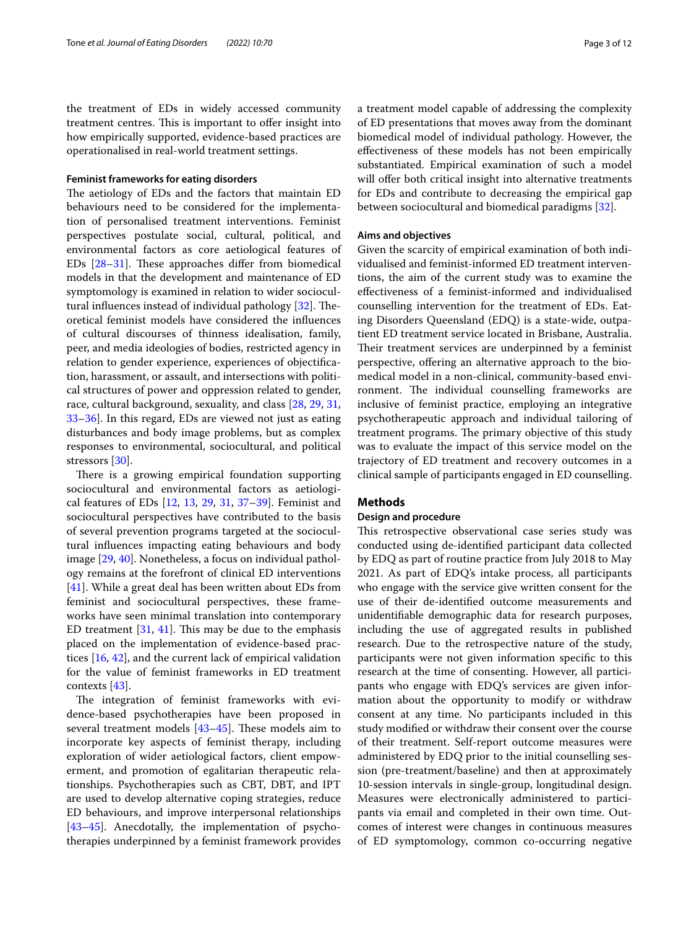the treatment of EDs in widely accessed community treatment centres. This is important to offer insight into how empirically supported, evidence-based practices are operationalised in real-world treatment settings.

#### **Feminist frameworks for eating disorders**

The aetiology of EDs and the factors that maintain ED behaviours need to be considered for the implementation of personalised treatment interventions. Feminist perspectives postulate social, cultural, political, and environmental factors as core aetiological features of EDs  $[28-31]$  $[28-31]$  $[28-31]$ . These approaches differ from biomedical models in that the development and maintenance of ED symptomology is examined in relation to wider sociocul-tural influences instead of individual pathology [[32\]](#page-10-27). Theoretical feminist models have considered the infuences of cultural discourses of thinness idealisation, family, peer, and media ideologies of bodies, restricted agency in relation to gender experience, experiences of objectifcation, harassment, or assault, and intersections with political structures of power and oppression related to gender, race, cultural background, sexuality, and class [\[28,](#page-10-25) [29,](#page-10-28) [31](#page-10-26), [33–](#page-10-29)[36](#page-10-30)]. In this regard, EDs are viewed not just as eating disturbances and body image problems, but as complex responses to environmental, sociocultural, and political stressors [[30\]](#page-10-31).

There is a growing empirical foundation supporting sociocultural and environmental factors as aetiological features of EDs [\[12](#page-10-10), [13](#page-10-11), [29,](#page-10-28) [31](#page-10-26), [37](#page-10-32)[–39](#page-11-0)]. Feminist and sociocultural perspectives have contributed to the basis of several prevention programs targeted at the sociocultural infuences impacting eating behaviours and body image [[29,](#page-10-28) [40\]](#page-11-1). Nonetheless, a focus on individual pathology remains at the forefront of clinical ED interventions [[41\]](#page-11-2). While a great deal has been written about EDs from feminist and sociocultural perspectives, these frameworks have seen minimal translation into contemporary ED treatment  $[31, 41]$  $[31, 41]$  $[31, 41]$  $[31, 41]$ . This may be due to the emphasis placed on the implementation of evidence-based practices [[16,](#page-10-14) [42](#page-11-3)], and the current lack of empirical validation for the value of feminist frameworks in ED treatment contexts [[43](#page-11-4)].

The integration of feminist frameworks with evidence-based psychotherapies have been proposed in several treatment models  $[43-45]$  $[43-45]$  $[43-45]$ . These models aim to incorporate key aspects of feminist therapy, including exploration of wider aetiological factors, client empowerment, and promotion of egalitarian therapeutic relationships. Psychotherapies such as CBT, DBT, and IPT are used to develop alternative coping strategies, reduce ED behaviours, and improve interpersonal relationships [[43–](#page-11-4)[45](#page-11-5)]. Anecdotally, the implementation of psychotherapies underpinned by a feminist framework provides a treatment model capable of addressing the complexity of ED presentations that moves away from the dominant biomedical model of individual pathology. However, the efectiveness of these models has not been empirically substantiated. Empirical examination of such a model will offer both critical insight into alternative treatments for EDs and contribute to decreasing the empirical gap between sociocultural and biomedical paradigms [\[32](#page-10-27)].

#### **Aims and objectives**

Given the scarcity of empirical examination of both individualised and feminist-informed ED treatment interventions, the aim of the current study was to examine the efectiveness of a feminist-informed and individualised counselling intervention for the treatment of EDs. Eating Disorders Queensland (EDQ) is a state-wide, outpatient ED treatment service located in Brisbane, Australia. Their treatment services are underpinned by a feminist perspective, offering an alternative approach to the biomedical model in a non-clinical, community-based environment. The individual counselling frameworks are inclusive of feminist practice, employing an integrative psychotherapeutic approach and individual tailoring of treatment programs. The primary objective of this study was to evaluate the impact of this service model on the trajectory of ED treatment and recovery outcomes in a clinical sample of participants engaged in ED counselling.

#### **Methods**

#### **Design and procedure**

This retrospective observational case series study was conducted using de-identifed participant data collected by EDQ as part of routine practice from July 2018 to May 2021. As part of EDQ's intake process, all participants who engage with the service give written consent for the use of their de-identifed outcome measurements and unidentifable demographic data for research purposes, including the use of aggregated results in published research. Due to the retrospective nature of the study, participants were not given information specifc to this research at the time of consenting. However, all participants who engage with EDQ's services are given information about the opportunity to modify or withdraw consent at any time. No participants included in this study modifed or withdraw their consent over the course of their treatment. Self-report outcome measures were administered by EDQ prior to the initial counselling session (pre-treatment/baseline) and then at approximately 10-session intervals in single-group, longitudinal design. Measures were electronically administered to participants via email and completed in their own time. Outcomes of interest were changes in continuous measures of ED symptomology, common co-occurring negative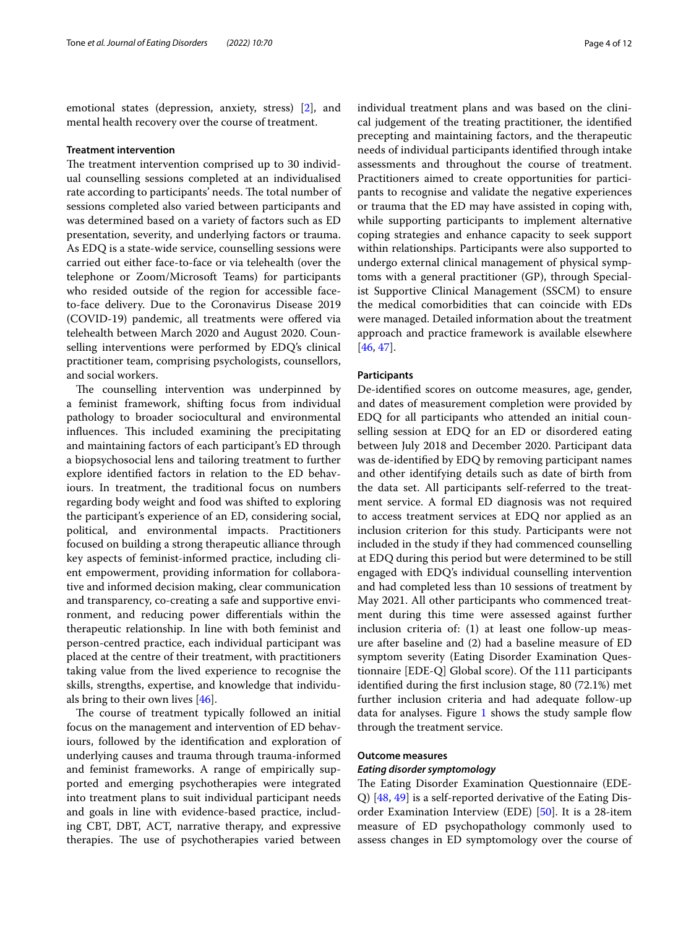emotional states (depression, anxiety, stress) [\[2](#page-10-1)], and mental health recovery over the course of treatment.

#### **Treatment intervention**

The treatment intervention comprised up to 30 individual counselling sessions completed at an individualised rate according to participants' needs. The total number of sessions completed also varied between participants and was determined based on a variety of factors such as ED presentation, severity, and underlying factors or trauma. As EDQ is a state-wide service, counselling sessions were carried out either face-to-face or via telehealth (over the telephone or Zoom/Microsoft Teams) for participants who resided outside of the region for accessible faceto-face delivery. Due to the Coronavirus Disease 2019 (COVID-19) pandemic, all treatments were offered via telehealth between March 2020 and August 2020. Counselling interventions were performed by EDQ's clinical practitioner team, comprising psychologists, counsellors, and social workers.

The counselling intervention was underpinned by a feminist framework, shifting focus from individual pathology to broader sociocultural and environmental influences. This included examining the precipitating and maintaining factors of each participant's ED through a biopsychosocial lens and tailoring treatment to further explore identifed factors in relation to the ED behaviours. In treatment, the traditional focus on numbers regarding body weight and food was shifted to exploring the participant's experience of an ED, considering social, political, and environmental impacts. Practitioners focused on building a strong therapeutic alliance through key aspects of feminist-informed practice, including client empowerment, providing information for collaborative and informed decision making, clear communication and transparency, co-creating a safe and supportive environment, and reducing power diferentials within the therapeutic relationship. In line with both feminist and person-centred practice, each individual participant was placed at the centre of their treatment, with practitioners taking value from the lived experience to recognise the skills, strengths, expertise, and knowledge that individuals bring to their own lives [[46\]](#page-11-6).

The course of treatment typically followed an initial focus on the management and intervention of ED behaviours, followed by the identifcation and exploration of underlying causes and trauma through trauma-informed and feminist frameworks. A range of empirically supported and emerging psychotherapies were integrated into treatment plans to suit individual participant needs and goals in line with evidence-based practice, including CBT, DBT, ACT, narrative therapy, and expressive therapies. The use of psychotherapies varied between individual treatment plans and was based on the clinical judgement of the treating practitioner, the identifed precepting and maintaining factors, and the therapeutic needs of individual participants identifed through intake assessments and throughout the course of treatment. Practitioners aimed to create opportunities for participants to recognise and validate the negative experiences or trauma that the ED may have assisted in coping with, while supporting participants to implement alternative coping strategies and enhance capacity to seek support within relationships. Participants were also supported to undergo external clinical management of physical symptoms with a general practitioner (GP), through Specialist Supportive Clinical Management (SSCM) to ensure the medical comorbidities that can coincide with EDs were managed. Detailed information about the treatment approach and practice framework is available elsewhere [[46,](#page-11-6) [47](#page-11-7)].

#### **Participants**

De-identifed scores on outcome measures, age, gender, and dates of measurement completion were provided by EDQ for all participants who attended an initial counselling session at EDQ for an ED or disordered eating between July 2018 and December 2020. Participant data was de-identifed by EDQ by removing participant names and other identifying details such as date of birth from the data set. All participants self-referred to the treatment service. A formal ED diagnosis was not required to access treatment services at EDQ nor applied as an inclusion criterion for this study. Participants were not included in the study if they had commenced counselling at EDQ during this period but were determined to be still engaged with EDQ's individual counselling intervention and had completed less than 10 sessions of treatment by May 2021. All other participants who commenced treatment during this time were assessed against further inclusion criteria of: (1) at least one follow-up measure after baseline and (2) had a baseline measure of ED symptom severity (Eating Disorder Examination Questionnaire [EDE-Q] Global score). Of the 111 participants identifed during the frst inclusion stage, 80 (72.1%) met further inclusion criteria and had adequate follow-up data for analyses. Figure [1](#page-4-0) shows the study sample fow through the treatment service.

### **Outcome measures**

#### *Eating disorder symptomology*

The Eating Disorder Examination Questionnaire (EDE-Q) [\[48](#page-11-8), [49\]](#page-11-9) is a self-reported derivative of the Eating Disorder Examination Interview (EDE) [\[50](#page-11-10)]. It is a 28-item measure of ED psychopathology commonly used to assess changes in ED symptomology over the course of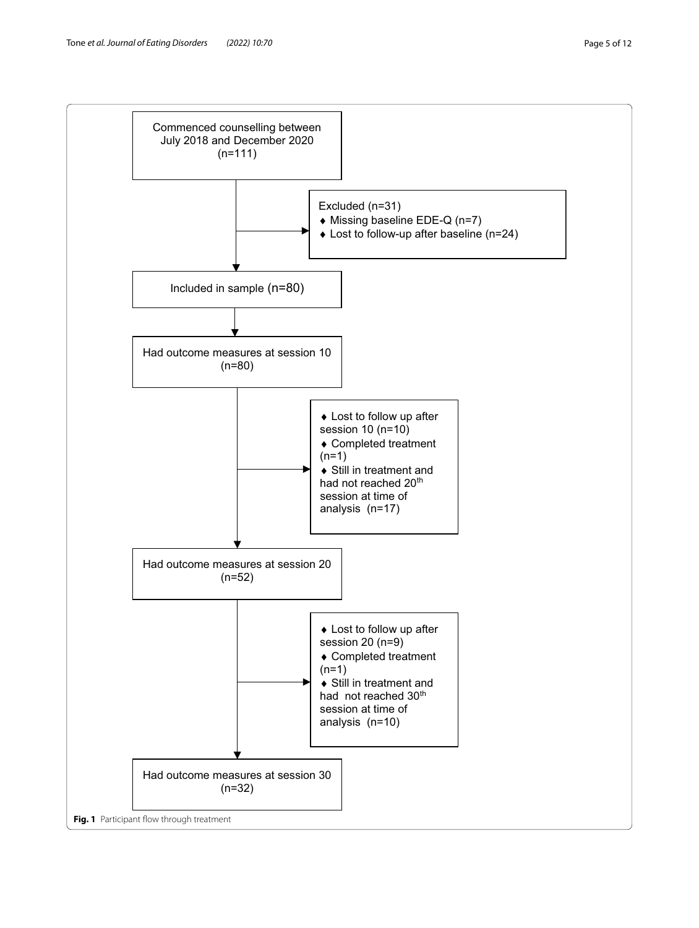<span id="page-4-0"></span>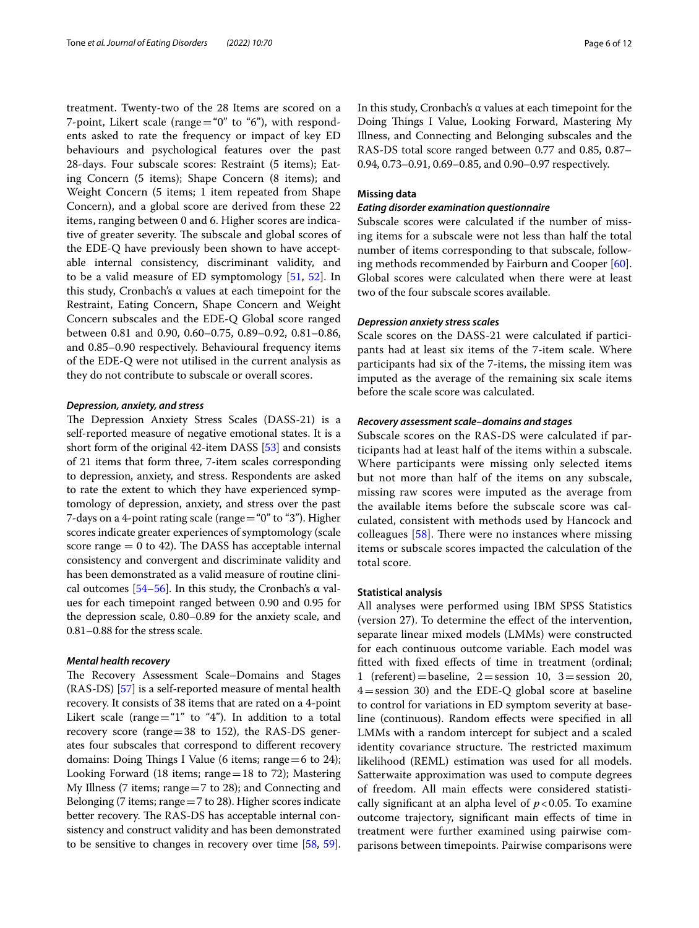treatment. Twenty-two of the 28 Items are scored on a 7-point, Likert scale (range="0" to "6"), with respondents asked to rate the frequency or impact of key ED behaviours and psychological features over the past 28-days. Four subscale scores: Restraint (5 items); Eating Concern (5 items); Shape Concern (8 items); and Weight Concern (5 items; 1 item repeated from Shape Concern), and a global score are derived from these 22 items, ranging between 0 and 6. Higher scores are indicative of greater severity. The subscale and global scores of the EDE-Q have previously been shown to have acceptable internal consistency, discriminant validity, and to be a valid measure of ED symptomology [\[51](#page-11-11), [52\]](#page-11-12). In this study, Cronbach's α values at each timepoint for the Restraint, Eating Concern, Shape Concern and Weight Concern subscales and the EDE-Q Global score ranged between 0.81 and 0.90, 0.60–0.75, 0.89–0.92, 0.81–0.86, and 0.85–0.90 respectively. Behavioural frequency items of the EDE-Q were not utilised in the current analysis as they do not contribute to subscale or overall scores.

#### *Depression, anxiety, and stress*

The Depression Anxiety Stress Scales (DASS-21) is a self-reported measure of negative emotional states. It is a short form of the original 42-item DASS [[53](#page-11-13)] and consists of 21 items that form three, 7-item scales corresponding to depression, anxiety, and stress. Respondents are asked to rate the extent to which they have experienced symptomology of depression, anxiety, and stress over the past 7-days on a 4-point rating scale (range="0" to "3"). Higher scores indicate greater experiences of symptomology (scale score range  $= 0$  to 42). The DASS has acceptable internal consistency and convergent and discriminate validity and has been demonstrated as a valid measure of routine clinical outcomes  $[54-56]$  $[54-56]$  $[54-56]$ . In this study, the Cronbach's  $\alpha$  values for each timepoint ranged between 0.90 and 0.95 for the depression scale, 0.80–0.89 for the anxiety scale, and 0.81–0.88 for the stress scale.

#### *Mental health recovery*

The Recovery Assessment Scale–Domains and Stages (RAS-DS) [[57](#page-11-16)] is a self-reported measure of mental health recovery. It consists of 38 items that are rated on a 4-point Likert scale (range="1" to "4"). In addition to a total recovery score (range=38 to 152), the RAS-DS generates four subscales that correspond to diferent recovery domains: Doing Things I Value (6 items; range  $=6$  to 24); Looking Forward (18 items; range = 18 to 72); Mastering My Illness (7 items; range=7 to 28); and Connecting and Belonging (7 items; range=7 to 28). Higher scores indicate better recovery. The RAS-DS has acceptable internal consistency and construct validity and has been demonstrated to be sensitive to changes in recovery over time [\[58](#page-11-17), [59](#page-11-18)]. In this study, Cronbach's α values at each timepoint for the Doing Things I Value, Looking Forward, Mastering My Illness, and Connecting and Belonging subscales and the RAS-DS total score ranged between 0.77 and 0.85, 0.87– 0.94, 0.73–0.91, 0.69–0.85, and 0.90–0.97 respectively.

#### **Missing data**

#### *Eating disorder examination questionnaire*

Subscale scores were calculated if the number of missing items for a subscale were not less than half the total number of items corresponding to that subscale, following methods recommended by Fairburn and Cooper [\[60](#page-11-19)]. Global scores were calculated when there were at least two of the four subscale scores available.

#### *Depression anxiety stress scales*

Scale scores on the DASS-21 were calculated if participants had at least six items of the 7-item scale. Where participants had six of the 7-items, the missing item was imputed as the average of the remaining six scale items before the scale score was calculated.

#### *Recovery assessment scale–domains and stages*

Subscale scores on the RAS-DS were calculated if participants had at least half of the items within a subscale. Where participants were missing only selected items but not more than half of the items on any subscale, missing raw scores were imputed as the average from the available items before the subscale score was calculated, consistent with methods used by Hancock and colleagues  $[58]$  $[58]$ . There were no instances where missing items or subscale scores impacted the calculation of the total score.

#### **Statistical analysis**

All analyses were performed using IBM SPSS Statistics (version 27). To determine the efect of the intervention, separate linear mixed models (LMMs) were constructed for each continuous outcome variable. Each model was ftted with fxed efects of time in treatment (ordinal; 1 (referent) = baseline,  $2 =$ session 10,  $3 =$ session 20, 4=session 30) and the EDE-Q global score at baseline to control for variations in ED symptom severity at baseline (continuous). Random efects were specifed in all LMMs with a random intercept for subject and a scaled identity covariance structure. The restricted maximum likelihood (REML) estimation was used for all models. Satterwaite approximation was used to compute degrees of freedom. All main efects were considered statistically significant at an alpha level of  $p < 0.05$ . To examine outcome trajectory, signifcant main efects of time in treatment were further examined using pairwise comparisons between timepoints. Pairwise comparisons were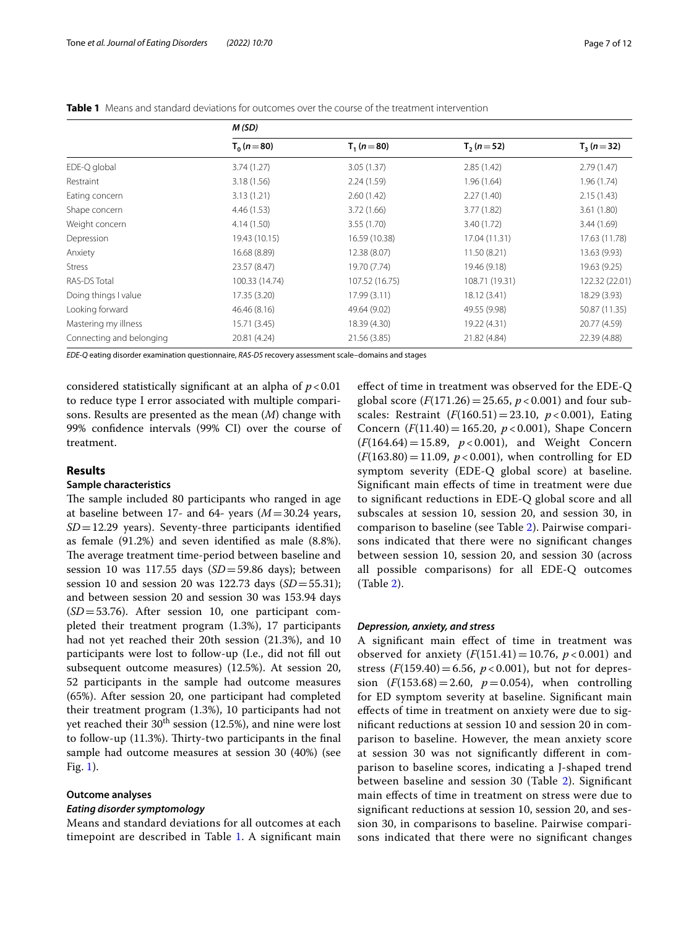|                          | M(SD)          |                |                |                |  |  |
|--------------------------|----------------|----------------|----------------|----------------|--|--|
|                          | $T_0(n=80)$    | $T_1(n=80)$    | $T_2(n=52)$    | $T_3(n=32)$    |  |  |
| EDE-Q global             | 3.74(1.27)     | 3.05(1.37)     | 2.85(1.42)     | 2.79(1.47)     |  |  |
| Restraint                | 3.18(1.56)     | 2.24(1.59)     | 1.96(1.64)     | 1.96(1.74)     |  |  |
| Eating concern           | 3.13(1.21)     | 2.60(1.42)     | 2.27(1.40)     | 2.15(1.43)     |  |  |
| Shape concern            | 4.46 (1.53)    | 3.72(1.66)     | 3.77(1.82)     | 3.61(1.80)     |  |  |
| Weight concern           | 4.14(1.50)     | 3.55(1.70)     | 3.40 (1.72)    | 3.44(1.69)     |  |  |
| Depression               | 19.43 (10.15)  | 16.59 (10.38)  | 17.04 (11.31)  | 17.63 (11.78)  |  |  |
| Anxiety                  | 16.68 (8.89)   | 12.38 (8.07)   | 11.50 (8.21)   | 13.63 (9.93)   |  |  |
| <b>Stress</b>            | 23.57 (8.47)   | 19.70 (7.74)   | 19.46 (9.18)   | 19.63 (9.25)   |  |  |
| RAS-DS Total             | 100.33 (14.74) | 107.52 (16.75) | 108.71 (19.31) | 122.32 (22.01) |  |  |
| Doing things I value     | 17.35 (3.20)   | 17.99(3.11)    | 18.12 (3.41)   | 18.29 (3.93)   |  |  |
| Looking forward          | 46.46 (8.16)   | 49.64 (9.02)   | 49.55 (9.98)   | 50.87 (11.35)  |  |  |
| Mastering my illness     | 15.71 (3.45)   | 18.39 (4.30)   | 19.22 (4.31)   | 20.77 (4.59)   |  |  |
| Connecting and belonging | 20.81 (4.24)   | 21.56 (3.85)   | 21.82 (4.84)   | 22.39 (4.88)   |  |  |

<span id="page-6-0"></span>**Table 1** Means and standard deviations for outcomes over the course of the treatment intervention

*EDE-Q* eating disorder examination questionnaire, *RAS-DS* recovery assessment scale–domains and stages

considered statistically signifcant at an alpha of *p*<0.01 to reduce type I error associated with multiple comparisons. Results are presented as the mean (*M*) change with 99% confdence intervals (99% CI) over the course of treatment.

#### **Results**

# **Sample characteristics**

The sample included 80 participants who ranged in age at baseline between 17- and 64- years (*M*=30.24 years, *SD*=12.29 years). Seventy-three participants identifed as female (91.2%) and seven identifed as male (8.8%). The average treatment time-period between baseline and session 10 was 117.55 days (*SD*=59.86 days); between session 10 and session 20 was 122.73 days (*SD*=55.31); and between session 20 and session 30 was 153.94 days (*SD*=53.76). After session 10, one participant completed their treatment program (1.3%), 17 participants had not yet reached their 20th session (21.3%), and 10 participants were lost to follow-up (I.e., did not fll out subsequent outcome measures) (12.5%). At session 20, 52 participants in the sample had outcome measures (65%). After session 20, one participant had completed their treatment program (1.3%), 10 participants had not yet reached their  $30^{th}$  session (12.5%), and nine were lost to follow-up  $(11.3%)$ . Thirty-two participants in the final sample had outcome measures at session 30 (40%) (see Fig. [1\)](#page-4-0).

#### **Outcome analyses**

#### *Eating disorder symptomology*

Means and standard deviations for all outcomes at each timepoint are described in Table [1.](#page-6-0) A signifcant main

efect of time in treatment was observed for the EDE-Q global score  $(F(171.26) = 25.65, p < 0.001)$  and four subscales: Restraint (*F*(160.51)=23.10, *p* < 0.001), Eating Concern (*F*(11.40)=165.20, *p* < 0.001), Shape Concern  $(F(164.64)=15.89, p<0.001)$ , and Weight Concern  $(F(163.80) = 11.09, p < 0.001)$ , when controlling for ED symptom severity (EDE-Q global score) at baseline. Signifcant main efects of time in treatment were due to signifcant reductions in EDE-Q global score and all subscales at session 10, session 20, and session 30, in comparison to baseline (see Table [2\)](#page-7-0). Pairwise comparisons indicated that there were no signifcant changes between session 10, session 20, and session 30 (across all possible comparisons) for all EDE-Q outcomes (Table [2\)](#page-7-0).

#### *Depression, anxiety, and stress*

A signifcant main efect of time in treatment was observed for anxiety  $(F(151.41)=10.76, p<0.001)$  and stress  $(F(159.40) = 6.56, p < 0.001)$ , but not for depression  $(F(153.68) = 2.60, p = 0.054)$ , when controlling for ED symptom severity at baseline. Signifcant main efects of time in treatment on anxiety were due to signifcant reductions at session 10 and session 20 in comparison to baseline. However, the mean anxiety score at session 30 was not signifcantly diferent in comparison to baseline scores, indicating a J-shaped trend between baseline and session 30 (Table [2](#page-7-0)). Signifcant main efects of time in treatment on stress were due to signifcant reductions at session 10, session 20, and session 30, in comparisons to baseline. Pairwise comparisons indicated that there were no signifcant changes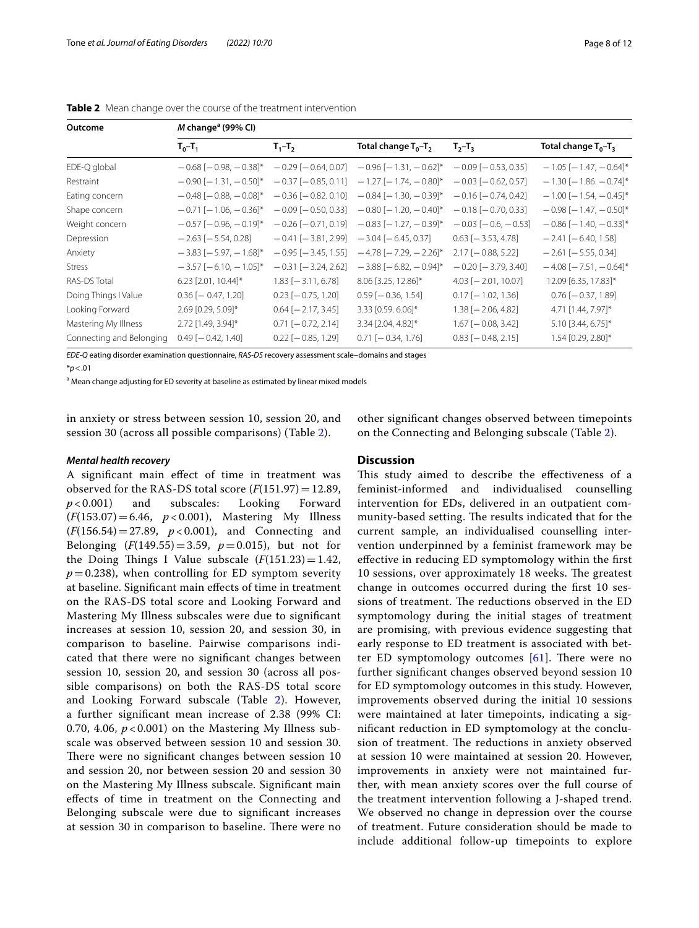| Outcome                  | $M$ change <sup>a</sup> (99% CI) |                           |                                    |                              |                                |  |  |
|--------------------------|----------------------------------|---------------------------|------------------------------------|------------------------------|--------------------------------|--|--|
|                          | $T_0 - T_1$                      | $T_1 - T_2$               | Total change $T_0$ -T <sub>2</sub> | $T_{2}-T_{3}$                | Total change $T_0 - T_3$       |  |  |
| EDE-Q global             | $-0.68$ [ $-0.98$ , $-0.38$ ]*   | $-0.29$ [ $-0.64$ , 0.07] | $-0.96$ [ $-1.31$ , $-0.62$ ]*     | $-0.09$ [ $-0.53$ , 0.35]    | $-1.05$ [ $-1.47$ , $-0.64$ ]* |  |  |
| Restraint                | $-0.90$ [ $-1.31$ , $-0.50$ ]*   | $-0.37$ [ $-0.85, 0.11$ ] | $-1.27$ [ $-1.74$ , $-0.80$ ]*     | $-0.03$ [ $-0.62$ , 0.57]    | $-1.30$ [ $-1.86$ . $-0.74$ ]* |  |  |
| Eating concern           | $-0.48$ [ $-0.88$ , $-0.08$ ]*   | $-0.36$ [ $-0.82, 0.10$ ] | $-0.84$ [ $-1.30$ , $-0.39$ ]*     | $-0.16$ [ $-0.74$ , 0.42]    | $-1.00$ [ $-1.54$ , $-0.45$ ]* |  |  |
| Shape concern            | $-0.71$ [ $-1.06$ , $-0.36$ ]*   | $-0.09$ [ $-0.50$ , 0.33] | $-0.80$ [ $-1.20$ , $-0.40$ ]*     | $-0.18$ [ $-0.70$ , 0.33]    | $-0.98$ [ $-1.47$ , $-0.50$ ]* |  |  |
| Weight concern           | $-0.57$ [ $-0.96$ , $-0.19$ ]*   | $-0.26$ [ $-0.71, 0.19$ ] | $-0.83$ [ $-1.27$ , $-0.39$ ]*     | $-0.03$ [ $-0.6$ , $-0.53$ ] | $-0.86$ [ $-1.40$ , $-0.33$ ]* |  |  |
| Depression               | $-2.63$ [ $-5.54$ , 0.28]        | $-0.41$ [ $-3.81$ , 2.99] | $-3.04$ [ $-6.45$ , 0.37]          | $0.63$ [- $3.53$ , 4.78]     | $-2.41$ [ $-6.40$ , 1.58]      |  |  |
| Anxiety                  | $-3.83$ [ $-5.97$ , $-1.68$ ]*   | $-0.95$ [ $-3.45$ , 1.55] | $-4.78$ [ $-7.29$ , $-2.26$ ]*     | $2.17$ [-0.88, 5.22]         | $-2.61$ [ $-5.55, 0.34$ ]      |  |  |
| <b>Stress</b>            | $-3.57$ [ $-6.10$ , $-1.05$ ]*   | $-0.31$ [ $-3.24$ , 2.62] | $-3.88$ [ $-6.82$ , $-0.94$ ]*     | $-0.20$ [ $-3.79$ , 3.40]    | $-4.08$ [ $-7.51$ , $-0.64$ ]* |  |  |
| RAS-DS Total             | 6.23 [2.01, 10.44]*              | $1.83$ [ $-3.11, 6.78$ ]  | 8.06 [3.25, 12.86]*                | $4.03$ [ $-2.01$ , 10.07]    | 12.09 [6.35, 17.83]*           |  |  |
| Doing Things I Value     | $0.36$ [ $-0.47, 1.20$ ]         | $0.23$ [ $-0.75, 1.20$ ]  | $0.59$ [ $-0.36$ , 1.54]           | $0.17$ [-1.02, 1.36]         | $0.76$ [ $-0.37$ , 1.89]       |  |  |
| Looking Forward          | 2.69 [0.29, 5.09]*               | $0.64$ [ $-2.17, 3.45$ ]  | 3.33 [0.59. 6.06]*                 | $1.38$ [ $-2.06, 4.82$ ]     | 4.71 [1.44, 7.97]*             |  |  |
| Mastering My Illness     | 2.72 [1.49, 3.94]*               | $0.71$ [ $-0.72$ , 2.14]  | 3.34 [2.04, 4.82]*                 | $1.67$ [ $-0.08$ , 3.42]     | 5.10 [3.44, 6.75]*             |  |  |
| Connecting and Belonging | $0.49$ [ $-0.42$ , 1.40]         | $0.22$ [ $-0.85$ , 1.29]  | $0.71$ [ $-0.34$ , 1.76]           | $0.83$ [ $-0.48$ , 2.15]     | 1.54 [0.29, 2.80]*             |  |  |

<span id="page-7-0"></span>**Table 2** Mean change over the course of the treatment intervention

*EDE-Q* eating disorder examination questionnaire, *RAS-DS* recovery assessment scale–domains and stages

\**p*<.01

<sup>a</sup> Mean change adjusting for ED severity at baseline as estimated by linear mixed models

in anxiety or stress between session 10, session 20, and session 30 (across all possible comparisons) (Table [2](#page-7-0)).

#### *Mental health recovery*

A signifcant main efect of time in treatment was observed for the RAS-DS total score  $(F(151.97)=12.89, p < 0.001)$  and subscales: Looking Forward subscales: (*F*(153.07)=6.46, *p* < 0.001), Mastering My Illness (*F*(156.54)=27.89, *p* < 0.001), and Connecting and Belonging  $(F(149.55) = 3.59, p = 0.015)$ , but not for the Doing Things I Value subscale  $(F(151.23)=1.42)$ ,  $p=0.238$ ), when controlling for ED symptom severity at baseline. Signifcant main efects of time in treatment on the RAS-DS total score and Looking Forward and Mastering My Illness subscales were due to signifcant increases at session 10, session 20, and session 30, in comparison to baseline. Pairwise comparisons indicated that there were no signifcant changes between session 10, session 20, and session 30 (across all possible comparisons) on both the RAS-DS total score and Looking Forward subscale (Table [2](#page-7-0)). However, a further signifcant mean increase of 2.38 (99% CI: 0.70, 4.06,  $p < 0.001$ ) on the Mastering My Illness subscale was observed between session 10 and session 30. There were no significant changes between session 10 and session 20, nor between session 20 and session 30 on the Mastering My Illness subscale. Signifcant main efects of time in treatment on the Connecting and Belonging subscale were due to signifcant increases at session 30 in comparison to baseline. There were no other signifcant changes observed between timepoints on the Connecting and Belonging subscale (Table [2](#page-7-0)).

#### **Discussion**

This study aimed to describe the effectiveness of a feminist-informed and individualised counselling intervention for EDs, delivered in an outpatient community-based setting. The results indicated that for the current sample, an individualised counselling intervention underpinned by a feminist framework may be efective in reducing ED symptomology within the frst 10 sessions, over approximately 18 weeks. The greatest change in outcomes occurred during the frst 10 sessions of treatment. The reductions observed in the ED symptomology during the initial stages of treatment are promising, with previous evidence suggesting that early response to ED treatment is associated with better ED symptomology outcomes  $[61]$  $[61]$ . There were no further signifcant changes observed beyond session 10 for ED symptomology outcomes in this study. However, improvements observed during the initial 10 sessions were maintained at later timepoints, indicating a signifcant reduction in ED symptomology at the conclusion of treatment. The reductions in anxiety observed at session 10 were maintained at session 20. However, improvements in anxiety were not maintained further, with mean anxiety scores over the full course of the treatment intervention following a J-shaped trend. We observed no change in depression over the course of treatment. Future consideration should be made to include additional follow-up timepoints to explore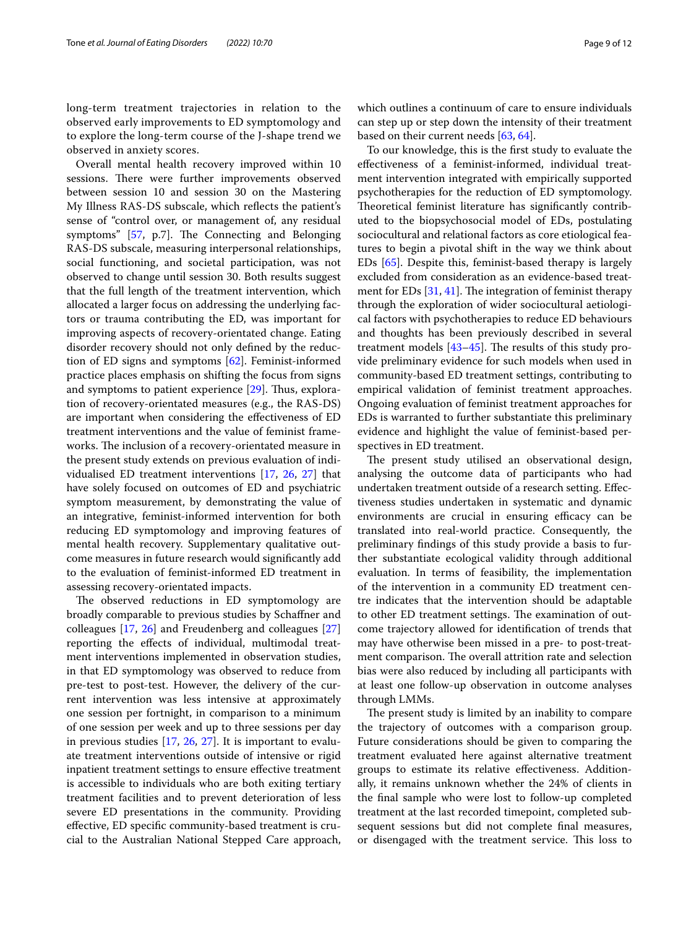long-term treatment trajectories in relation to the observed early improvements to ED symptomology and to explore the long-term course of the J-shape trend we observed in anxiety scores.

Overall mental health recovery improved within 10 sessions. There were further improvements observed between session 10 and session 30 on the Mastering My Illness RAS-DS subscale, which refects the patient's sense of "control over, or management of, any residual symptoms" [[57](#page-11-16), p.7]. The Connecting and Belonging RAS-DS subscale, measuring interpersonal relationships, social functioning, and societal participation, was not observed to change until session 30. Both results suggest that the full length of the treatment intervention, which allocated a larger focus on addressing the underlying factors or trauma contributing the ED, was important for improving aspects of recovery-orientated change. Eating disorder recovery should not only defned by the reduction of ED signs and symptoms [\[62](#page-11-21)]. Feminist-informed practice places emphasis on shifting the focus from signs and symptoms to patient experience [\[29\]](#page-10-28). Thus, exploration of recovery-orientated measures (e.g., the RAS-DS) are important when considering the efectiveness of ED treatment interventions and the value of feminist frameworks. The inclusion of a recovery-orientated measure in the present study extends on previous evaluation of individualised ED treatment interventions [\[17,](#page-10-15) [26,](#page-10-23) [27](#page-10-24)] that have solely focused on outcomes of ED and psychiatric symptom measurement, by demonstrating the value of an integrative, feminist-informed intervention for both reducing ED symptomology and improving features of mental health recovery. Supplementary qualitative outcome measures in future research would signifcantly add to the evaluation of feminist-informed ED treatment in assessing recovery-orientated impacts.

The observed reductions in ED symptomology are broadly comparable to previous studies by Schafner and colleagues [\[17](#page-10-15), [26](#page-10-23)] and Freudenberg and colleagues [[27](#page-10-24)] reporting the efects of individual, multimodal treatment interventions implemented in observation studies, in that ED symptomology was observed to reduce from pre-test to post-test. However, the delivery of the current intervention was less intensive at approximately one session per fortnight, in comparison to a minimum of one session per week and up to three sessions per day in previous studies [\[17,](#page-10-15) [26](#page-10-23), [27](#page-10-24)]. It is important to evaluate treatment interventions outside of intensive or rigid inpatient treatment settings to ensure efective treatment is accessible to individuals who are both exiting tertiary treatment facilities and to prevent deterioration of less severe ED presentations in the community. Providing efective, ED specifc community-based treatment is crucial to the Australian National Stepped Care approach,

which outlines a continuum of care to ensure individuals can step up or step down the intensity of their treatment based on their current needs [\[63,](#page-11-22) [64](#page-11-23)].

To our knowledge, this is the frst study to evaluate the efectiveness of a feminist-informed, individual treatment intervention integrated with empirically supported psychotherapies for the reduction of ED symptomology. Theoretical feminist literature has significantly contributed to the biopsychosocial model of EDs, postulating sociocultural and relational factors as core etiological features to begin a pivotal shift in the way we think about EDs [\[65](#page-11-24)]. Despite this, feminist-based therapy is largely excluded from consideration as an evidence-based treatment for EDs  $[31, 41]$  $[31, 41]$  $[31, 41]$  $[31, 41]$ . The integration of feminist therapy through the exploration of wider sociocultural aetiological factors with psychotherapies to reduce ED behaviours and thoughts has been previously described in several treatment models  $[43-45]$  $[43-45]$ . The results of this study provide preliminary evidence for such models when used in community-based ED treatment settings, contributing to empirical validation of feminist treatment approaches. Ongoing evaluation of feminist treatment approaches for EDs is warranted to further substantiate this preliminary evidence and highlight the value of feminist-based perspectives in ED treatment.

The present study utilised an observational design, analysing the outcome data of participants who had undertaken treatment outside of a research setting. Efectiveness studies undertaken in systematic and dynamic environments are crucial in ensuring efficacy can be translated into real-world practice. Consequently, the preliminary fndings of this study provide a basis to further substantiate ecological validity through additional evaluation. In terms of feasibility, the implementation of the intervention in a community ED treatment centre indicates that the intervention should be adaptable to other ED treatment settings. The examination of outcome trajectory allowed for identifcation of trends that may have otherwise been missed in a pre- to post-treatment comparison. The overall attrition rate and selection bias were also reduced by including all participants with at least one follow-up observation in outcome analyses through LMMs.

The present study is limited by an inability to compare the trajectory of outcomes with a comparison group. Future considerations should be given to comparing the treatment evaluated here against alternative treatment groups to estimate its relative efectiveness. Additionally, it remains unknown whether the 24% of clients in the fnal sample who were lost to follow-up completed treatment at the last recorded timepoint, completed subsequent sessions but did not complete fnal measures, or disengaged with the treatment service. This loss to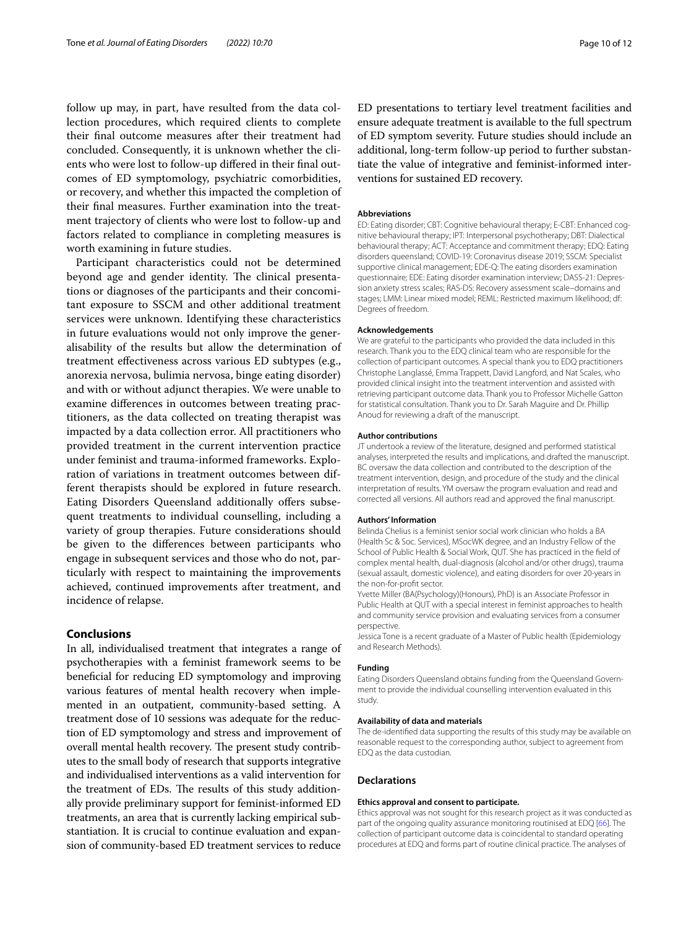follow up may, in part, have resulted from the data collection procedures, which required clients to complete their fnal outcome measures after their treatment had concluded. Consequently, it is unknown whether the clients who were lost to follow-up difered in their fnal outcomes of ED symptomology, psychiatric comorbidities, or recovery, and whether this impacted the completion of their fnal measures. Further examination into the treatment trajectory of clients who were lost to follow-up and factors related to compliance in completing measures is worth examining in future studies.

Participant characteristics could not be determined beyond age and gender identity. The clinical presentations or diagnoses of the participants and their concomitant exposure to SSCM and other additional treatment services were unknown. Identifying these characteristics in future evaluations would not only improve the generalisability of the results but allow the determination of treatment efectiveness across various ED subtypes (e.g., anorexia nervosa, bulimia nervosa, binge eating disorder) and with or without adjunct therapies. We were unable to examine diferences in outcomes between treating practitioners, as the data collected on treating therapist was impacted by a data collection error. All practitioners who provided treatment in the current intervention practice under feminist and trauma-informed frameworks. Exploration of variations in treatment outcomes between different therapists should be explored in future research. Eating Disorders Queensland additionally offers subsequent treatments to individual counselling, including a variety of group therapies. Future considerations should be given to the diferences between participants who engage in subsequent services and those who do not, particularly with respect to maintaining the improvements achieved, continued improvements after treatment, and incidence of relapse.

#### **Conclusions**

In all, individualised treatment that integrates a range of psychotherapies with a feminist framework seems to be benefcial for reducing ED symptomology and improving various features of mental health recovery when implemented in an outpatient, community-based setting. A treatment dose of 10 sessions was adequate for the reduction of ED symptomology and stress and improvement of overall mental health recovery. The present study contributes to the small body of research that supports integrative and individualised interventions as a valid intervention for the treatment of EDs. The results of this study additionally provide preliminary support for feminist-informed ED treatments, an area that is currently lacking empirical substantiation. It is crucial to continue evaluation and expansion of community-based ED treatment services to reduce ED presentations to tertiary level treatment facilities and ensure adequate treatment is available to the full spectrum of ED symptom severity. Future studies should include an additional, long-term follow-up period to further substantiate the value of integrative and feminist-informed interventions for sustained ED recovery.

#### **Abbreviations**

ED: Eating disorder; CBT: Cognitive behavioural therapy; E-CBT: Enhanced cognitive behavioural therapy; IPT: Interpersonal psychotherapy; DBT: Dialectical behavioural therapy; ACT: Acceptance and commitment therapy; EDQ: Eating disorders queensland; COVID-19: Coronavirus disease 2019; SSCM: Specialist supportive clinical management; EDE-Q: The eating disorders examination questionnaire; EDE: Eating disorder examination interview; DASS-21: Depression anxiety stress scales; RAS-DS: Recovery assessment scale–domains and stages; LMM: Linear mixed model; REML: Restricted maximum likelihood; df: Degrees of freedom.

#### **Acknowledgements**

We are grateful to the participants who provided the data included in this research. Thank you to the EDQ clinical team who are responsible for the collection of participant outcomes. A special thank you to EDQ practitioners Christophe Langlassé, Emma Trappett, David Langford, and Nat Scales, who provided clinical insight into the treatment intervention and assisted with retrieving participant outcome data. Thank you to Professor Michelle Gatton for statistical consultation. Thank you to Dr. Sarah Maguire and Dr. Phillip Anoud for reviewing a draft of the manuscript.

#### **Author contributions**

JT undertook a review of the literature, designed and performed statistical analyses, interpreted the results and implications, and drafted the manuscript. BC oversaw the data collection and contributed to the description of the treatment intervention, design, and procedure of the study and the clinical interpretation of results. YM oversaw the program evaluation and read and corrected all versions. All authors read and approved the fnal manuscript.

#### **Authors' Information**

Belinda Chelius is a feminist senior social work clinician who holds a BA (Health Sc & Soc. Services), MSocWK degree, and an Industry Fellow of the School of Public Health & Social Work, QUT. She has practiced in the feld of complex mental health, dual-diagnosis (alcohol and/or other drugs), trauma (sexual assault, domestic violence), and eating disorders for over 20-years in the non-for-proft sector.

Yvette Miller (BA(Psychology)(Honours), PhD) is an Associate Professor in Public Health at QUT with a special interest in feminist approaches to health and community service provision and evaluating services from a consumer perspective.

Jessica Tone is a recent graduate of a Master of Public health (Epidemiology and Research Methods).

#### **Funding**

Eating Disorders Queensland obtains funding from the Queensland Government to provide the individual counselling intervention evaluated in this study.

#### **Availability of data and materials**

The de-identifed data supporting the results of this study may be available on reasonable request to the corresponding author, subject to agreement from EDQ as the data custodian.

#### **Declarations**

#### **Ethics approval and consent to participate.**

Ethics approval was not sought for this research project as it was conducted as part of the ongoing quality assurance monitoring routinised at EDO [\[66](#page-11-25)]. The collection of participant outcome data is coincidental to standard operating procedures at EDQ and forms part of routine clinical practice. The analyses of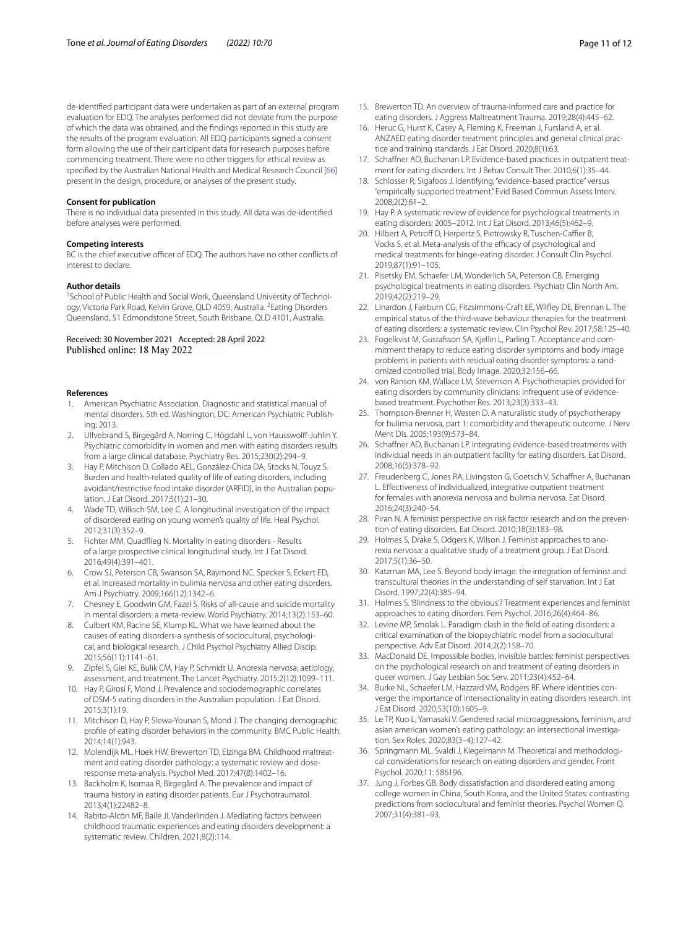de-identifed participant data were undertaken as part of an external program evaluation for EDQ. The analyses performed did not deviate from the purpose of which the data was obtained, and the fndings reported in this study are the results of the program evaluation. All EDQ participants signed a consent form allowing the use of their participant data for research purposes before commencing treatment. There were no other triggers for ethical review as specifed by the Australian National Health and Medical Research Council [\[66\]](#page-11-25) present in the design, procedure, or analyses of the present study.

#### **Consent for publication**

There is no individual data presented in this study. All data was de-identifed before analyses were performed.

#### **Competing interests**

BC is the chief executive officer of EDQ. The authors have no other conflicts of interest to declare

#### **Author details**

<sup>1</sup> School of Public Health and Social Work, Queensland University of Technology, Victoria Park Road, Kelvin Grove, QLD 4059, Australia. <sup>2</sup>Eating Disorders Queensland, 51 Edmondstone Street, South Brisbane, QLD 4101, Australia.

# Received: 30 November 2021 Accepted: 28 April 2022

#### **References**

- <span id="page-10-0"></span>1. American Psychiatric Association. Diagnostic and statistical manual of mental disorders. 5th ed. Washington, DC: American Psychiatric Publishing; 2013.
- <span id="page-10-1"></span>2. Ulfvebrand S, Birgegård A, Norring C, Högdahl L, von Hausswolff-Juhlin Y. Psychiatric comorbidity in women and men with eating disorders results from a large clinical database. Psychiatry Res. 2015;230(2):294–9.
- <span id="page-10-2"></span>3. Hay P, Mitchison D, Collado AEL, González-Chica DA, Stocks N, Touyz S. Burden and health-related quality of life of eating disorders, including avoidant/restrictive food intake disorder (ARFID), in the Australian population. J Eat Disord. 2017;5(1):21–30.
- <span id="page-10-3"></span>4. Wade TD, Wilksch SM, Lee C. A longitudinal investigation of the impact of disordered eating on young women's quality of life. Heal Psychol. 2012;31(3):352–9.
- <span id="page-10-4"></span>5. Fichter MM, Quadfieg N. Mortality in eating disorders - Results of a large prospective clinical longitudinal study. Int J Eat Disord. 2016;49(4):391–401.
- 6. Crow SJ, Peterson CB, Swanson SA, Raymond NC, Specker S, Eckert ED, et al. Increased mortality in bulimia nervosa and other eating disorders. Am J Psychiatry. 2009;166(12):1342–6.
- <span id="page-10-5"></span>7. Chesney E, Goodwin GM, Fazel S. Risks of all-cause and suicide mortality in mental disorders: a meta-review. World Psychiatry. 2014;13(2):153–60.
- <span id="page-10-6"></span>8. Culbert KM, Racine SE, Klump KL. What we have learned about the causes of eating disorders-a synthesis of sociocultural, psychological, and biological research. J Child Psychol Psychiatry Allied Discip. 2015;56(11):1141–61.
- <span id="page-10-7"></span>9. Zipfel S, Giel KE, Bulik CM, Hay P, Schmidt U. Anorexia nervosa: aetiology, assessment, and treatment. The Lancet Psychiatry. 2015;2(12):1099–111.
- <span id="page-10-8"></span>10. Hay P, Girosi F, Mond J. Prevalence and sociodemographic correlates of DSM-5 eating disorders in the Australian population. J Eat Disord. 2015;3(1):19.
- <span id="page-10-9"></span>11. Mitchison D, Hay P, Slewa-Younan S, Mond J. The changing demographic profle of eating disorder behaviors in the community. BMC Public Health. 2014;14(1):943.
- <span id="page-10-10"></span>12. Molendijk ML, Hoek HW, Brewerton TD, Elzinga BM. Childhood maltreatment and eating disorder pathology: a systematic review and doseresponse meta-analysis. Psychol Med. 2017;47(8):1402–16.
- <span id="page-10-11"></span>13. Backholm K, Isomaa R, Birgegård A. The prevalence and impact of trauma history in eating disorder patients. Eur J Psychotraumatol. 2013;4(1):22482–8.
- <span id="page-10-12"></span>14. Rabito-Alcón MF, Baile JI, Vanderlinden J. Mediating factors between childhood traumatic experiences and eating disorders development: a systematic review. Children. 2021;8(2):114.
- <span id="page-10-13"></span>15. Brewerton TD. An overview of trauma-informed care and practice for eating disorders. J Aggress Maltreatment Trauma. 2019;28(4):445–62.
- <span id="page-10-14"></span>16. Heruc G, Hurst K, Casey A, Fleming K, Freeman J, Fursland A, et al. ANZAED eating disorder treatment principles and general clinical practice and training standards. J Eat Disord. 2020;8(1):63.
- <span id="page-10-15"></span>17. Schaffner AD, Buchanan LP. Evidence-based practices in outpatient treatment for eating disorders. Int J Behav Consult Ther. 2010;6(1):35–44.
- <span id="page-10-16"></span>18. Schlosser R, Sigafoos J. Identifying, "evidence-based practice" versus "empirically supported treatment." Evid Based Commun Assess Interv. 2008;2(2):61–2.
- <span id="page-10-17"></span>19. Hay P. A systematic review of evidence for psychological treatments in eating disorders: 2005–2012. Int J Eat Disord. 2013;46(5):462–9.
- <span id="page-10-18"></span>20. Hilbert A, Petroff D, Herpertz S, Pietrowsky R, Tuschen-Caffier B, Vocks S, et al. Meta-analysis of the efficacy of psychological and medical treatments for binge-eating disorder. J Consult Clin Psychol. 2019;87(1):91–105.
- <span id="page-10-19"></span>21. Pisetsky EM, Schaefer LM, Wonderlich SA, Peterson CB. Emerging psychological treatments in eating disorders. Psychiatr Clin North Am. 2019;42(2):219–29.
- 22. Linardon J, Fairburn CG, Fitzsimmons-Craft EE, Wilfey DE, Brennan L. The empirical status of the third-wave behaviour therapies for the treatment of eating disorders: a systematic review. Clin Psychol Rev. 2017;58:125–40.
- <span id="page-10-20"></span>23. Fogelkvist M, Gustafsson SA, Kjellin L, Parling T. Acceptance and commitment therapy to reduce eating disorder symptoms and body image problems in patients with residual eating disorder symptoms: a randomized controlled trial. Body Image. 2020;32:156–66.
- <span id="page-10-21"></span>24. von Ranson KM, Wallace LM, Stevenson A. Psychotherapies provided for eating disorders by community clinicians: Infrequent use of evidencebased treatment. Psychother Res. 2013;23(3):333–43.
- <span id="page-10-22"></span>25. Thompson-Brenner H, Westen D. A naturalistic study of psychotherapy for bulimia nervosa, part 1: comorbidity and therapeutic outcome. J Nerv Ment Dis. 2005;193(9):573–84.
- <span id="page-10-23"></span>26. Schaffner AD, Buchanan LP. Integrating evidence-based treatments with individual needs in an outpatient facility for eating disorders. Eat Disord. 2008;16(5):378–92.
- <span id="page-10-24"></span>27. Freudenberg C, Jones RA, Livingston G, Goetsch V, Schaffner A, Buchanan L. Efectiveness of individualized, integrative outpatient treatment for females with anorexia nervosa and bulimia nervosa. Eat Disord. 2016;24(3):240–54.
- <span id="page-10-25"></span>28. Piran N. A feminist perspective on risk factor research and on the prevention of eating disorders. Eat Disord. 2010;18(3):183–98.
- <span id="page-10-28"></span>29. Holmes S, Drake S, Odgers K, Wilson J. Feminist approaches to anorexia nervosa: a qualitative study of a treatment group. J Eat Disord. 2017;5(1):36–50.
- <span id="page-10-31"></span>30. Katzman MA, Lee S. Beyond body image: the integration of feminist and transcultural theories in the understanding of self starvation. Int J Eat Disord. 1997;22(4):385–94.
- <span id="page-10-26"></span>31. Holmes S. 'Blindness to the obvious'? Treatment experiences and feminist approaches to eating disorders. Fem Psychol. 2016;26(4):464–86.
- <span id="page-10-27"></span>32. Levine MP, Smolak L. Paradigm clash in the feld of eating disorders: a critical examination of the biopsychiatric model from a sociocultural perspective. Adv Eat Disord. 2014;2(2):158–70.
- <span id="page-10-29"></span>33. MacDonald DE. Impossible bodies, invisible battles: feminist perspectives on the psychological research on and treatment of eating disorders in queer women. J Gay Lesbian Soc Serv. 2011;23(4):452–64.
- 34. Burke NL, Schaefer LM, Hazzard VM, Rodgers RF. Where identities converge: the importance of intersectionality in eating disorders research. Int J Eat Disord. 2020;53(10):1605–9.
- 35. Le TP, Kuo L, Yamasaki V. Gendered racial microaggressions, feminism, and asian american women's eating pathology: an intersectional investigation. Sex Roles. 2020;83(3–4):127–42.
- <span id="page-10-30"></span>36. Springmann ML, Svaldi J, Kiegelmann M. Theoretical and methodological considerations for research on eating disorders and gender. Front Psychol. 2020;11: 586196.
- <span id="page-10-32"></span>37. Jung J, Forbes GB. Body dissatisfaction and disordered eating among college women in China, South Korea, and the United States: contrasting predictions from sociocultural and feminist theories. Psychol Women Q. 2007;31(4):381–93.